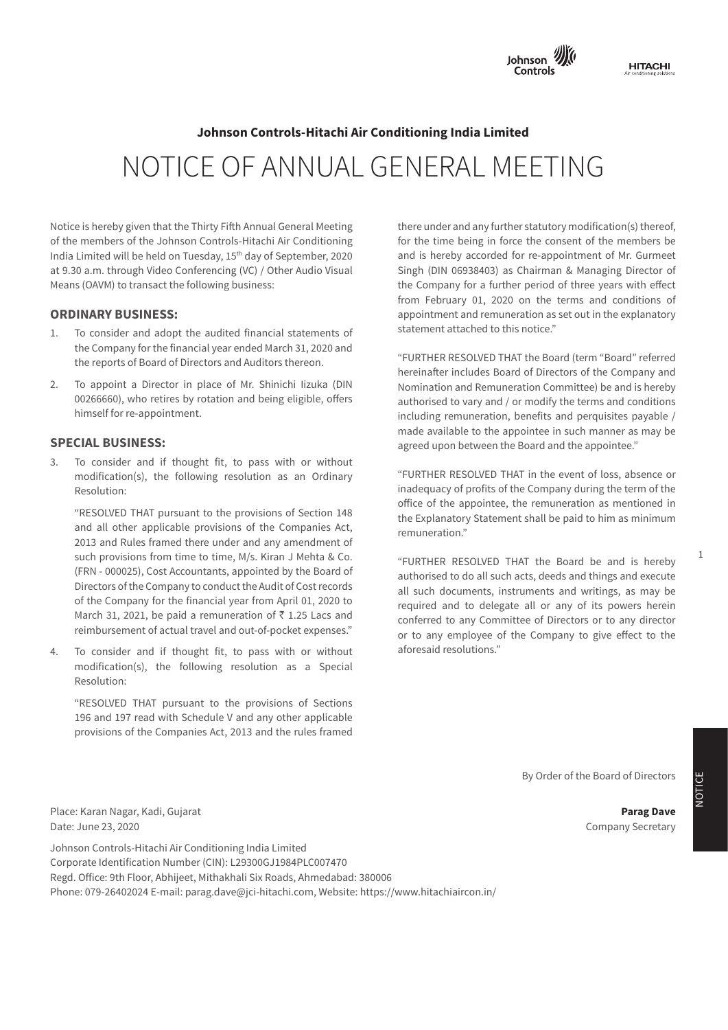

# **Note 36: Fair value measurements Notes of the Financial Statements Annexure - A formulation Statements Annexure - A formulation ing India Limited**<br> **Johnson Controls-Hitachi Air Conditioning India Limited** NOTICE OF ANNUAL GENERAL MEETING

te is nereby given that the Thirty Filth Annual General Meeting  $\mathbb{C}$  und Notice is hereby given that the Thirty Fifth Annual General Meeting **there under an** of the members of the Johnson Controls-Hitachi Air Conditioning for the time being in force the India Limited will be held on Tuesday,  $15<sup>th</sup>$  day of September, 2020 and is hereby accord Means (OAVM) to transact the following business: at 9.30 a.m. through Video Conferencing (VC) / Other Audio Visual

# **Financial assets ORDINARY BUSINESS:**

- 1. To consider and adopt the audited financial statements of statement attached to this notice." the Company for the financial year ended March 31, 2020 and the reports of Board of Directors and Auditors thereon "FURTHER RESOLVED THAT the Board (term "Board" referred the reports of Board of Directors and Auditors thereon. THE RESULVED THAT THE RESULT OF THE RESULT OF THE RESULT OF THE RESULT OF THE RESULT OF THE RESULT OF THE RESULT OF THE RESULT OF THE RESULT OF THE RESULT OF THE RESU
- Io appoint a Director in place of Mr. Shinichi lizuka (DIN Momination and Remuneration Committee) be and is hereby Monumeter and terms returned to vary and / or modify the terms and conditions - 2.4 - 2.4 - 2.4 - 2.4 - 2.4 - 2.4 - 2.4 - 2.4 - 2.4 - 2.4 - 2.4 - 2.4 - 2.4 - 2.4 - 2.4 - 2.4 - 2.4 - 2.4 - 2.4 - 2.4 - 2.4 - 2.4 - 2.4 - 2.4 himself for re-appointment. The company is a set of the company is a set of the company is a set of the company is  $\mathbf{r}$ 00266660), who retires by rotation and being eligible, offers

# **SPECIAL BUSINESS:**

3. To consider and if thought fit, to pass with or without modification(s), the following resolution as an Ordinary "FURTHER RESOLVED THAT in the event of loss, absence or Resolution: modification(s), the following resolution as an Ordinary

RESOLVED THAT pursuant to the provisions of Section 148 the Explanatory Statement shall be paid to him as minimum INCOLVED THAT pursuant to the provisions of bection 140 the Explanatory Statement shall be paid to him as minimur<br>
remuneration." 2013 and Rules framed there under and any amendment of **Election Company Shall and Rules** framed there under and any amendment of such provisions from time to time, M/s. Kiran J Menta & Co.<br>Contractor of the Board of the Board of the Board of the Board of the Board of the Board be and is hereby (FRN - 000025), Cost Accountants, appointed by the Board of authorised to do all such acts, deeds and things and execute Directors of the Company to conduct the Audit of Cost records all such documents, instruments and writings, as may be of the Company for the financial year from April 01, 2020 to<br>required and to delegate all or any of its powers herein March 31, 2021, be paid a remuneration of  $\bar{\tau}$  1.25 Lacs and conferred to any Committee of Directors or to any director **Sr. Name and Description of main Products /**  (FRN - 000025), Cost Accountants, appointed by the Board of **No. Services** Directors of the Company to conduct the Audit of Cost records and such documents, institutions and whitings, as may be<br>conditioned and to delegate all or any of its nowers herein the company of the financial year from April 01, 2020 to **III. The Participan Company** is the member of any<br>The subsidiary analyzed and out-of-pocket expenses." "RESOLVED THAT pursuant to the provisions of Section 148 such provisions from time to time, M/s. Kiran J Mehta & Co. March 31, 2021, be paid a remuneration of  $\bar{\tau}$  1.25 Lacs and

4. To consider and if thought fit, to pass with or without aforesaid resolutions."  $\mathsf{Resolution:}\quad$ **No.** modification(s), the following resolution as a Special Resolution:

of financial instruments as referred to in note above have been classified into three categories depending on the inputs used in "RESOLVED THAT pursuant to the provisions of Sections provisions of the Companies Act, 2013 and the rules framed 196 and 197 read with Schedule V and any other applicable

and is hereby accorded for re-appointment of Mr. Gurmeet **Year ended March 31, 2019 Year ended March 31, 2018** Singh (DIN 06938403) as Chairman & Managing Director of the Company for a further period of three years with effect from February 01, 2020 on the terms and conditions of **i.** Collection, the collection of the collection of the explanatory in the explanatory appointment and remuneration as set out in the explanatory there under and any further statutory modification(s) thereof, for the time being in force the consent of the members be statement attached to this notice."

derivative Contracts 4.5 - - 4.5 - 2.5 - 2.5 - 2.7 - 2.7 - 2.5 - 2.5 - 2.5 - 2.5 - 2.5 - 2.5 - 2.5 - 2.5 - 2.5 - 2.5 - 2.5 - 2.5 - 2.5 - 2.5 - 2.5 - 2.5 - 2.5 - 2.5 - 2.5 - 2.5 - 2.5 - 2.5 - 2.5 - 2.5 - 2.5 - 2.5 - 2.5 - 2 himself for re-appointment. The security of the security of the security of the including remuneration, benefits and perquisites payable / made available to the appointee in such manner as may be agreed upon between the Board and the appointee." noncometred medaba board of Directors of the Sompany and company and 2.<br>Nomination and Remuneration Committee) be and is hereb

 $\epsilon$  office of the appointee, the remuneration as mentioned in inadequacy of profits of the Company during the term of the remuneration."

> or to any employee of the Company to give effect to the aforesaid resolutions."

> > By Order of the Board of Directors

Company Secretary

Place: Karan Nagar, Kadi, Gujarat **Parag Dave that have been measured at amortised cost, the reasonable parag Dave** Date: June 23, 2020

Johnson Controls-Hitachi Air Conditioning India Limited Regd. Office: 9th Floor, Abhijeet, Mithakhali Six Roads, Ahmedabad: 380006 Corporate Identification Number (CIN): L29300GJ1984PLC007470 Phone: 079-26402024 E-mail: parag.dave@jci-hitachi.com, Website: https://www.hitachiaircon.in/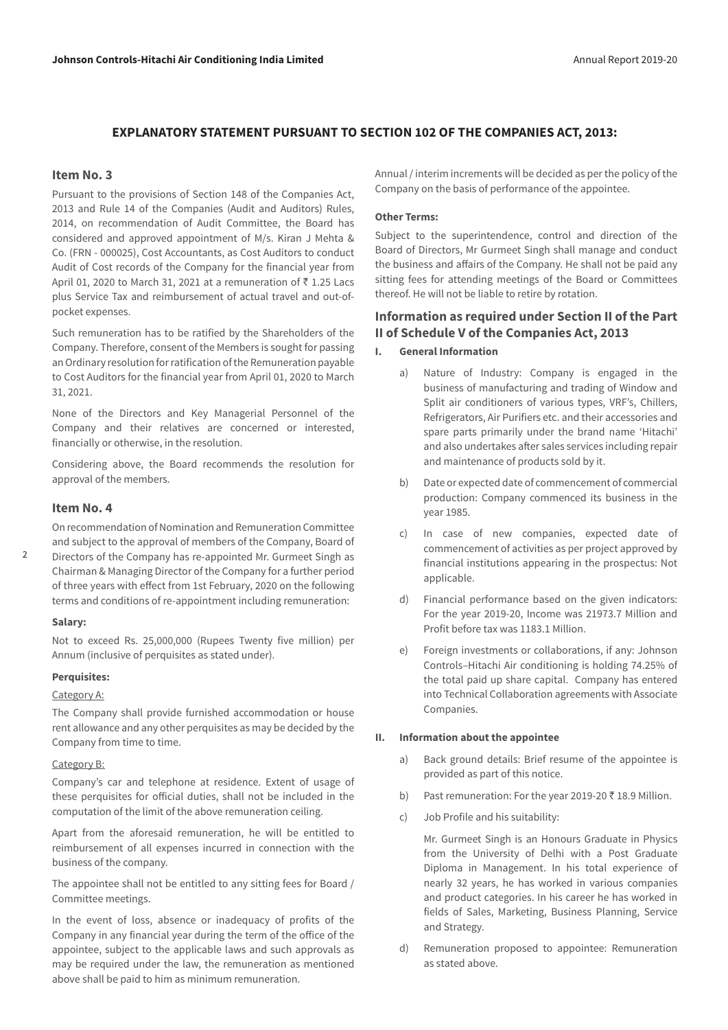# **EXPLANATORY STATEMENT PURSUANT TO SECTION 102 OF THE COMPANIES ACT, 2013:**

#### **Item No. 3**

Pursuant to the provisions of Section 148 of the Companies Act, 2013 and Rule 14 of the Companies (Audit and Auditors) Rules, 2014, on recommendation of Audit Committee, the Board has considered and approved appointment of M/s. Kiran J Mehta & Co. (FRN - 000025), Cost Accountants, as Cost Auditors to conduct Audit of Cost records of the Company for the financial year from April 01, 2020 to March 31, 2021 at a remuneration of  $\bar{z}$  1.25 Lacs plus Service Tax and reimbursement of actual travel and out-ofpocket expenses.

Such remuneration has to be ratified by the Shareholders of the Company. Therefore, consent of the Members is sought for passing an Ordinary resolution for ratification of the Remuneration payable to Cost Auditors for the financial year from April 01, 2020 to March 31, 2021.

None of the Directors and Key Managerial Personnel of the Company and their relatives are concerned or interested, financially or otherwise, in the resolution.

Considering above, the Board recommends the resolution for approval of the members.

### **Item No. 4**

On recommendation of Nomination and Remuneration Committee and subject to the approval of members of the Company, Board of Directors of the Company has re-appointed Mr. Gurmeet Singh as Chairman & Managing Director of the Company for a further period of three years with effect from 1st February, 2020 on the following terms and conditions of re-appointment including remuneration:

#### **Salary:**

 $\overline{2}$ 

Not to exceed Rs. 25,000,000 (Rupees Twenty five million) per Annum (inclusive of perquisites as stated under).

#### **Perquisites:**

#### Category A:

The Company shall provide furnished accommodation or house rent allowance and any other perquisites as may be decided by the Company from time to time.

#### Category B:

Company's car and telephone at residence. Extent of usage of these perquisites for official duties, shall not be included in the computation of the limit of the above remuneration ceiling.

Apart from the aforesaid remuneration, he will be entitled to reimbursement of all expenses incurred in connection with the business of the company.

The appointee shall not be entitled to any sitting fees for Board / Committee meetings.

In the event of loss, absence or inadequacy of profits of the Company in any financial year during the term of the office of the appointee, subject to the applicable laws and such approvals as may be required under the law, the remuneration as mentioned above shall be paid to him as minimum remuneration.

Annual / interim increments will be decided as per the policy of the Company on the basis of performance of the appointee.

#### **Other Terms:**

Subject to the superintendence, control and direction of the Board of Directors, Mr Gurmeet Singh shall manage and conduct the business and affairs of the Company. He shall not be paid any sitting fees for attending meetings of the Board or Committees thereof. He will not be liable to retire by rotation.

# **Information as required under Section II of the Part II of Schedule V of the Companies Act, 2013**

- **I. General Information**
	- a) Nature of Industry: Company is engaged in the business of manufacturing and trading of Window and Split air conditioners of various types, VRF's, Chillers, Refrigerators, Air Purifiers etc. and their accessories and spare parts primarily under the brand name 'Hitachi' and also undertakes after sales services including repair and maintenance of products sold by it.
	- b) Date or expected date of commencement of commercial production: Company commenced its business in the year 1985.
	- c) In case of new companies, expected date of commencement of activities as per project approved by financial institutions appearing in the prospectus: Not applicable.
	- d) Financial performance based on the given indicators: For the year 2019-20, Income was 21973.7 Million and Profit before tax was 1183.1 Million.
	- e) Foreign investments or collaborations, if any: Johnson Controls–Hitachi Air conditioning is holding 74.25% of the total paid up share capital. Company has entered into Technical Collaboration agreements with Associate Companies.

#### **II. Information about the appointee**

- a) Back ground details: Brief resume of the appointee is provided as part of this notice.
- b) Past remuneration: For the year 2019-20  $\bar{z}$  18.9 Million.
- c) Job Profile and his suitability:

 Mr. Gurmeet Singh is an Honours Graduate in Physics from the University of Delhi with a Post Graduate Diploma in Management. In his total experience of nearly 32 years, he has worked in various companies and product categories. In his career he has worked in fields of Sales, Marketing, Business Planning, Service and Strategy.

d) Remuneration proposed to appointee: Remuneration as stated above.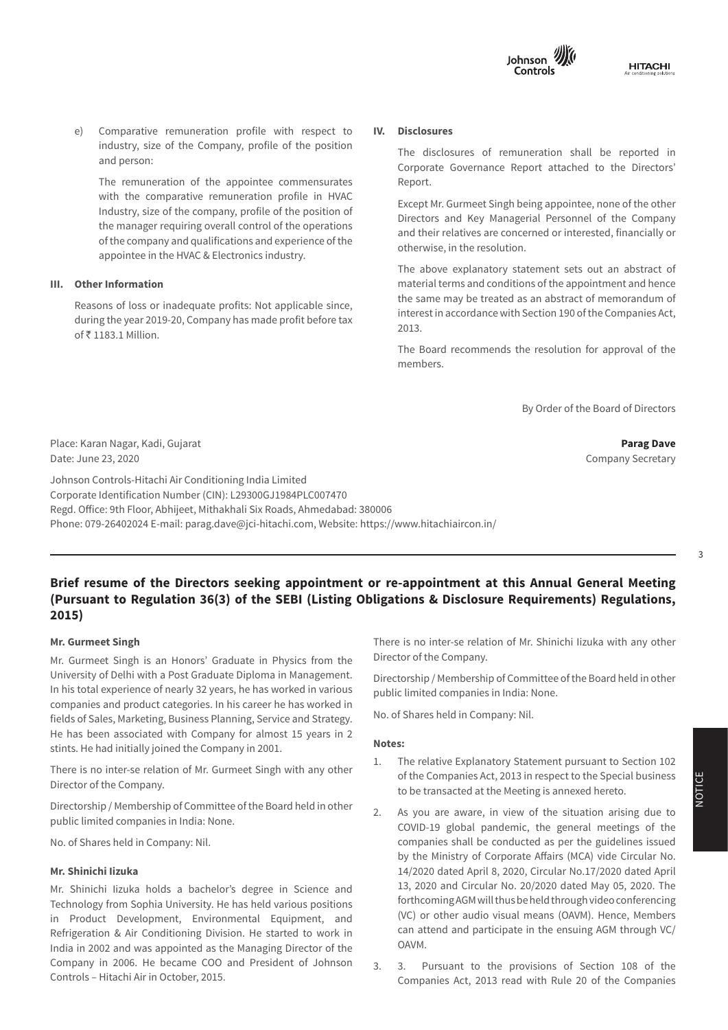

e) Comparative remuneration profile with respect to **IV. Disclosures**<br>
industry, size of the Company, profile of the position<br>
The disclosures of remuneration shal e) Comparative remuneration profile with respect to and person:

The remuneration of the appointee commensurates Internation of Financial Library, profile of the position of Financial returnation of Financial returns **Exception** the manager requiring overall control of the operations  $\frac{1}{2}$ **FORM NO. MGT - 9** with the comparative remuneration profile in HVAC of the company and qualifications and experience of the second the company and qualifications and experience of the appointee in the HVAC & Electronics industry.

## **III.** Other Information

**Financial assets**  of  $\bar{\tau}$  1183.1 Million. 2013. Reasons of loss or inadequate profits: Not applicable since,<br>interest in accordance w during the year 2019-20, Company has made profit before tax his recession december 2013.

#### **IV. Disclosures**

 The disclosures of remuneration shall be reported in Corporate Governance Report attached to the Directors' Report.

As on the financial Directors and Key Managerial Personnel of the Company Except Mr. Gurmeet Singh being appointee, none of the other and their relatives are concerned or interested, financially or otherwise, in the resolution.

> **Year ended March 31, 2019 Year ended March 31, 2018** The above explanatory statement sets out an abstract of **FVPL FVOCI Amortised FVPL FVOCI Amortised** material terms and conditions of the appointment and hence **cost cost** the same may be treated as an abstract of memorandum of interest in accordance with Section 190 of the Companies Act, 2013.

In the Board recommends the resolution for approval of the Controls-Hitachi Air Controls-Hitachi Air Controls-Unbilled revenue - - - - - 145.3  $\mathbf{m}$ embers. members.

**Margin money department of the Board of Directors**  $\mathsf{By}\nolimits$  Order of the Board of Directors  $S<sub>g</sub>$  order of the bound of B needs

Parag Dave

Company Secretary

Place: Karan Nagar, Kadi, Gujarat **Parag Dave Agent, it any kaominina mpikambana amin'ny fivondronan-kaominin'i Parag Dave** Date: June 23, 2020

Johnson Controls-Hitachi Air Conditioning India Limited **Financial liabilities**  Corporate Identification Number (CIN): L29300GJ1984PLC007470 eorporate raentmeation number (om). Expodeduse in Eccentive<br>Regd. Office: 9th Floor, Abhijeet, Mithakhali Six Roads, Ahmedabad: 380006  $T_{\rm c} = 0.8466664 \, \text{F}$  -  $\frac{1}{2}$  -  $\frac{1}{2}$  -  $\frac{1}{2}$  -  $\frac{1}{2}$  -  $\frac{1}{2}$  -  $\frac{1}{2}$  -  $\frac{1}{2}$  -  $\frac{1}{2}$  -  $\frac{1}{2}$  -  $\frac{1}{2}$  -  $\frac{1}{2}$  -  $\frac{1}{2}$  -  $\frac{1}{2}$  -  $\frac{1}{2}$  -  $\frac{1}{2}$  -  $\frac{1}{2}$  - Phone: 079-26402024 E-mail: parag.dave@jci-hitachi.com, Website: https://www.hitachiaircon.in/

#### $\mathcal{A}$  and due to customers -  $\mathcal{A}$  -  $\mathcal{A}$  -  $\mathcal{A}$  -  $\mathcal{A}$  -  $\mathcal{A}$  -  $\mathcal{A}$  -  $\mathcal{A}$  -  $\mathcal{A}$  -  $\mathcal{A}$  -  $\mathcal{A}$  -  $\mathcal{A}$  -  $\mathcal{A}$  -  $\mathcal{A}$  -  $\mathcal{A}$  -  $\mathcal{A}$  -  $\mathcal{A}$  -  $\mathcal{A}$  -  $\$ Brief resume of the Directors seeking appointment or re-appointment at this Annual General Meeting (Pursuant to Regulation 36(3) of the SEBI (Listing Obligations & Disclosure Requirements) Regulations, **Total financial liabilities 25.2 - 7,867.1 0.7 - 5,609.8 II. PARTICULARS OF HOLDING, SUBSIDIARY AND ASSOCIATE COMPANIES 2015)**

 $U$  ,  $U$  ,  $U$  ,  $U$  ,  $U$  ,  $U$  ,  $U$  ,  $U$  ,  $U$  ,  $U$  ,  $U$  ,  $U$  ,  $U$  ,  $U$  ,  $U$  ,  $U$  ,  $U$  ,  $U$  ,  $U$  ,  $U$  ,  $U$  ,  $U$  ,  $U$  ,  $U$  ,  $U$  ,  $U$  ,  $U$  ,  $U$  ,  $U$  ,  $U$  ,  $U$  ,  $U$  ,  $U$  ,  $U$  ,  $U$  ,  $U$  ,  $U$  ,

# **Sr. Mr. Gurmeet Singh**

Mr. Gurmeet Singh is an Honors' Graduate in Physics from the In his total experience of nearly 32 years, he has worked in various public limited companies in India: None. companies and product categories. In his career he has worked in fields of Sales, Marketing, Business Planning, Service and Strategy.  $\quad$  No. of Shares held in Com stints. He had initially joined the Company in 2001. **Process** are categorised as Level 2 financial as Level 2 fi He has been associated with Company for almost 15 years in 2  $N$ otes:  $\frac{1}{2}$ University of Delhi with a Post Graduate Diploma in Management.

instruments. Holding(UK)Limited There is no inter-se relation of Mr. Gurmeet Singh with any other<br>District and Hampshire Director of the Company.

torship / Membership of Committee of the Board held in other **2.** As you are aware, in view of the situation arising due to Directorship / Membership of Committee of the Board held in other public limited companies in India: None.

No. of Shares held in Company: Nil.

#### $T_{\text{max}}$  are as follows: **Mr. Shinichi Iizuka**

Technology from Sophia University. He has held various positions forthcoming AG India in 2002 and was appointed as the Managing Director of the  $\sim$  OAVM. Company in 2006. He became COO and President of Johnson  $\frac{3}{100}$  are pursuant to the provisions of Section 108 of the controls - Hitachi Air in October, 2015. Mr. Shinichi Iizuka holds a bachelor's degree in Science and in Product Development, Environmental Equipment, and Refrigeration & Air Conditioning Division. He started to work in

**Example 2018**<br> **EXAMPLE SHOWER SHOWER IS NOTE OF COMPANY.**<br> **CINCLE SHOWER SHOWER SHOWER SHOWER SHOWER SHOWER SHOWER SHOWER SHOWER SHOWER SHOWER SHOWER SHOWER SHOWER SHOWER SHOWER SHOWER SHOWER SHOWER SHOWER SHOWER SHOWER** There is no inter-se relation of Mr. Shinichi Iizuka with any other

Frsity or beinflwith a Post Graduate biploma in Management. Birectorship / Membership of Committee of the Board held in other **Associates** Not applicable Holding Company 74.252 Section 2(87)(ii) Directorship / Membership of Committee of the Board held in other public limited companies in India: None.

No. of Shares held in Company: Nil.

#### **Notes:**

- tor of the Company.<br>to be transacted at the Meeting is annexed hereto. 1. The relative Explanatory Statement pursuant to Section 102 of the Companies Act, 2013 in respect to the Special business
- commedicompanies in maid. None. The servel 3 and 2 financial instruments of the general meetings of the covid- $T_{\text{th}}$  there were no transfers between Level 3 during the year. geration & Air Conditioning Division. He started to work in can attend and participate in the ensuing AGM through VC/ companies shall be conducted as per the guidelines issued by the Ministry of Corporate Affairs (MCA) vide Circular No. 14/2020 dated April 8, 2020, Circular No.17/2020 dated April 13, 2020 and Circular No. 20/2020 dated May 05, 2020. The forthcoming AGM will thus be held through video conferencing (VC) or other audio visual means (OAVM). Hence, Members OAVM.
	- 3. 3. Pursuant to the provisions of Section 108 of the Companies Act, 2013 read with Rule 20 of the Companies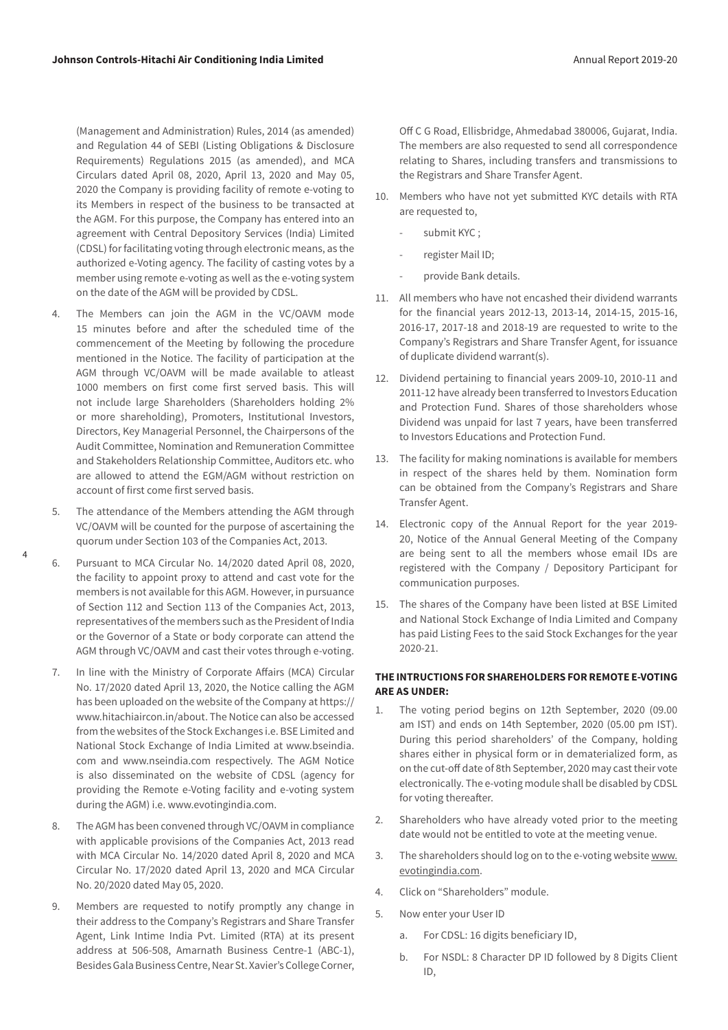(Management and Administration) Rules, 2014 (as amended) and Regulation 44 of SEBI (Listing Obligations & Disclosure Requirements) Regulations 2015 (as amended), and MCA Circulars dated April 08, 2020, April 13, 2020 and May 05, 2020 the Company is providing facility of remote e-voting to its Members in respect of the business to be transacted at the AGM. For this purpose, the Company has entered into an agreement with Central Depository Services (India) Limited (CDSL) for facilitating voting through electronic means, as the authorized e-Voting agency. The facility of casting votes by a member using remote e-voting as well as the e-voting system on the date of the AGM will be provided by CDSL.

- 4. The Members can join the AGM in the VC/OAVM mode 15 minutes before and after the scheduled time of the commencement of the Meeting by following the procedure mentioned in the Notice. The facility of participation at the AGM through VC/OAVM will be made available to atleast 1000 members on first come first served basis. This will not include large Shareholders (Shareholders holding 2% or more shareholding), Promoters, Institutional Investors, Directors, Key Managerial Personnel, the Chairpersons of the Audit Committee, Nomination and Remuneration Committee and Stakeholders Relationship Committee, Auditors etc. who are allowed to attend the EGM/AGM without restriction on account of first come first served basis.
- 5. The attendance of the Members attending the AGM through VC/OAVM will be counted for the purpose of ascertaining the quorum under Section 103 of the Companies Act, 2013.
- 6. Pursuant to MCA Circular No. 14/2020 dated April 08, 2020, the facility to appoint proxy to attend and cast vote for the members is not available for this AGM. However, in pursuance of Section 112 and Section 113 of the Companies Act, 2013, representatives of the members such as the President of India or the Governor of a State or body corporate can attend the AGM through VC/OAVM and cast their votes through e-voting.
- 7. In line with the Ministry of Corporate Affairs (MCA) Circular No. 17/2020 dated April 13, 2020, the Notice calling the AGM has been uploaded on the website of the Company at [https://](https://www.hitachiaircon.in/about) [www.hitachiaircon.in/about.](https://www.hitachiaircon.in/about) The Notice can also be accessed from the websites of the Stock Exchanges i.e. BSE Limited and National Stock Exchange of India Limited at www.bseindia. com and www.nseindia.com respectively. The AGM Notice is also disseminated on the website of CDSL (agency for providing the Remote e-Voting facility and e-voting system during the AGM) i.e. [www.evotingindia.com](http://www.evotingindia.com).
- 8. The AGM has been convened through VC/OAVM in compliance with applicable provisions of the Companies Act, 2013 read with MCA Circular No. 14/2020 dated April 8, 2020 and MCA Circular No. 17/2020 dated April 13, 2020 and MCA Circular No. 20/2020 dated May 05, 2020.
- 9. Members are requested to notify promptly any change in their address to the Company's Registrars and Share Transfer Agent, Link Intime India Pvt. Limited (RTA) at its present address at 506-508, Amarnath Business Centre-1 (ABC-1), Besides Gala Business Centre, Near St. Xavier's College Corner,

Off C G Road, Ellisbridge, Ahmedabad 380006, Gujarat, India. The members are also requested to send all correspondence relating to Shares, including transfers and transmissions to the Registrars and Share Transfer Agent.

- 10. Members who have not yet submitted KYC details with RTA are requested to,
	- submit KYC;
	- register Mail ID;
	- provide Bank details.
- 11. All members who have not encashed their dividend warrants for the financial years 2012-13, 2013-14, 2014-15, 2015-16, 2016-17, 2017-18 and 2018-19 are requested to write to the Company's Registrars and Share Transfer Agent, for issuance of duplicate dividend warrant(s).
- 12. Dividend pertaining to financial years 2009-10, 2010-11 and 2011-12 have already been transferred to Investors Education and Protection Fund. Shares of those shareholders whose Dividend was unpaid for last 7 years, have been transferred to Investors Educations and Protection Fund.
- 13. The facility for making nominations is available for members in respect of the shares held by them. Nomination form can be obtained from the Company's Registrars and Share Transfer Agent.
- 14. Electronic copy of the Annual Report for the year 2019- 20, Notice of the Annual General Meeting of the Company are being sent to all the members whose email IDs are registered with the Company / Depository Participant for communication purposes.
- 15. The shares of the Company have been listed at BSE Limited and National Stock Exchange of India Limited and Company has paid Listing Fees to the said Stock Exchanges for the year 2020-21.

# **THE INTRUCTIONS FOR SHAREHOLDERS FOR REMOTE E-VOTING ARE AS UNDER:**

- 1. The voting period begins on 12th September, 2020 (09.00 am IST) and ends on 14th September, 2020 (05.00 pm IST). During this period shareholders' of the Company, holding shares either in physical form or in dematerialized form, as on the cut-off date of 8th September, 2020 may cast their vote electronically. The e-voting module shall be disabled by CDSL for voting thereafter.
- 2. Shareholders who have already voted prior to the meeting date would not be entitled to vote at the meeting venue.
- 3. The shareholders should log on to the e-voting website [www.](http://www.evotingindia.com) [evotingindia.com](http://www.evotingindia.com).
- 4. Click on "Shareholders" module.
- 5. Now enter your User ID
	- a. For CDSL: 16 digits beneficiary ID,
	- b. For NSDL: 8 Character DP ID followed by 8 Digits Client ID,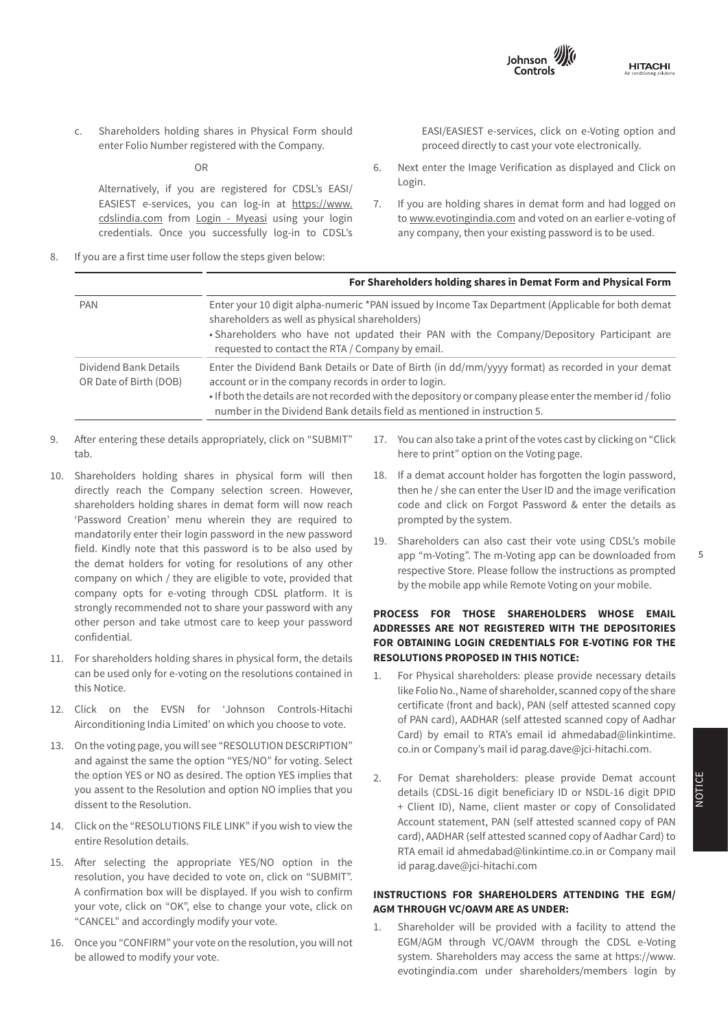

- **HITACHI**
- **Notes forming part of the Financial Statements** Annexure A for the year ended March 31, <sup>2019</sup> c. Shareholders holding shares in Physical Form should enter Folio Number registered with the Company.

OR

Alternatively, if you are registered for CDSL's EASI/ Log EASIEST e-services, you can log-in at [https://www.](https://www.cdslindia.com) 7. Ifyou credentials. Once you successfully log-in to CDSL's an <u>[cdslindia.com](https://www.cdslindia.com)</u> from <u>Login - Myeasi</u> using your login to <u>www.evotin</u>g credentials. Once you successfully log-in to CDSL's any company, then your existi

8. If you are a first time user follow the steps given below:

EASI/EASIEST e-services, click on e-Voting option and proceed directly to cast your vote electronically.

- 6. Next enter the Image Verification as displayed and Click on Login.
- 7. If you are holding shares in demat form and had logged on to [www.evotingindia.com](http://www.evotingindia.com) and voted on an earlier e-voting of any company, then your existing password is to be used.

|                                                 | For Shareholders holding shares in Demat Form and Physical Form                                                                                                                                                                                                                                                                                   |  |  |  |  |  |
|-------------------------------------------------|---------------------------------------------------------------------------------------------------------------------------------------------------------------------------------------------------------------------------------------------------------------------------------------------------------------------------------------------------|--|--|--|--|--|
| <b>PAN</b>                                      | Enter your 10 digit alpha-numeric *PAN issued by Income Tax Department (Applicable for both demat<br>shareholders as well as physical shareholders)<br>• Shareholders who have not updated their PAN with the Company/Depository Participant are<br>requested to contact the RTA / Company by email.                                              |  |  |  |  |  |
| Dividend Bank Details<br>OR Date of Birth (DOB) | Enter the Dividend Bank Details or Date of Birth (in dd/mm/yyyy format) as recorded in your demat<br>account or in the company records in order to login.<br>• If both the details are not recorded with the depository or company please enter the member id / folio<br>number in the Dividend Bank details field as mentioned in instruction 5. |  |  |  |  |  |

- Alter entering these details appropriately  $\mathsf{u}_\mathsf{u}$ vii. Name, address and contact details of Registrar and Transfer 9. After entering these details appropriately, click on "SUBMIT" tab.
- directly reach the Company selection screen. However, 'Password Creation' menu wherein they are required to prompted by the system. mandatorily enter their login password in the new password<br>
19. Shareholders can also cast their vote using CDSL's mobil company opts for e-voting through CDSL platform. It is by the mobile app while Remote voting on your mobile. strongly recommended not to share your password with any **DRACESS FOR THOSE SHAREHOLDERS WHOSE EMAL** other person and take utmost care to keep your password<br>**ADDRESSES ARE NOT REGISTERED WITH THE DEPOSITORIE** 10. Shareholders holding shares in physical form will then shareholders holding shares in demat form will now reach confidential.
- 11 For shareholders hol  $rac{0}{2}$ **12. For shareholders holding shares in physical form, the details <b>RESOLUTIONS PROPOSED II** this Notice. can be used only for e-voting on the resolutions contained in
- Airconditioning India Limited' on which you choose to vote. <sup>OT PAN</sup> Card), AADHA<br>Card), by omail to 12. Click on the EVSN for 'Johnson Controls-Hitachi
- and against the same the option "YES/NO" for voting. Select you assent to the Resolution and option NO implies that you details (CDSL-16 digit benet 13. On the voting page, you will see "RESOLUTION DESCRIPTION" the option YES or NO as desired. The option YES implies that dissent to the Resolution.
- 14. Click on the "RESOLUTIONS FILE LINK" if you wish to view the ACCOULL Statement entire Resolution details.
- There were no transfers between Level 1, Level 2 and Level 3 during the year. 15. After selecting the appropriate YES/NO option in the resolution, you have decided to vote on, click on "SUBMIT". your vote, click on "OK", else to change your vote, click on **AGM THROUGH VC/C** A confirmation box will be displayed. If you wish to confirm "CANCEL" and accordingly modify your vote.
- 16. Once you "CONFIRM" your vote on the resolution, you will not EGM/AGM through VC/OAVM through the CDSL e-Voting be allowed to modify your vote.
- Cash and cash equivalents - 295.5 - 354.9 IT. TOU CALLAISO LAKE A PHILL OF LITE VOLES CASE BY CITCRITIE OIL CITC 17. You can also take a print of the votes cast by clicking on "Click  $\overline{5}$  Tou can also take a print of the vot here to print" option on the Voting page.
- Shareholders holding shares in physical form will then 18. If a demat account holder has forgotten the login password, shareholders holding shares in demat form will now reach code and click on Forgot Password & enter the details as then he / she can enter the User ID and the image verification prompted by the system.
- field. Kindly note that this password is to be also used by the subsequent of the material credit also cast their vote using CDSLS moon<br>The material contract the material contract the developded from app m-voung. The m-voung app can be downloaded from<br> **the demat holders for voting for resolutions of any other**<br> **Exercise State Diago follow the instructions as prompte** respective Store. Please follow the instructions as prompter<br> **Services** - but he mobile annubile Demote Veting on your mobile **NIC CODE OF THE PRODUCT** *SERVICE* **CODE OF THE PRODUCT CONE Company** by the mobile app while Remote Voting on your mobile. 19. Shareholders can also cast their vote using CDSL's mobile app "m-Voting". The m-Voting app can be downloaded from

# **% of Shares RESOLUTIONS PROPOSED IN THIS NOTICE: FOR OBTAINING LOGIN CREDENTIALS FOR E-VOTING FOR THE PROCESS FOR THOSE SHAREHOLDERS WHOSE EMAIL ADDRESSES ARE NOT REGISTERED WITH THE DEPOSITORIES**

- this section explains the countries in determining to the financial induced the financial instruments. The fair value of the fair value of the fair value of the fair value of the fair value of the fair value of the fair va this Notice.<br>like Folio No., Name of shareholder, scanned copy of the share Click on the EVSN for 'Johnson Controls-Hitachi certificate (front and back), PAN (self-attested scanned copy On the voting page, you will see "RESOLUTION DESCRIPTION" co.in or Company's mail id parag.dave@jci-hitachi.com. 1. For Physical shareholders: please provide necessary details certificate (front and back), PAN (self attested scanned copy of PAN card), AADHAR (self attested scanned copy of Aadhar Card) by email to RTA's email id ahmedabad@linkintime.
- For all financial instruments referred above that have the cost, their carrying values of copy of consolidated cost, their carrying values are reasonable cost, their carrying values are reasonable computed at a self attest to the Resolution. **The Resolution** of the Magnetic Client ID, Name, client master or copy of Consolidated 2. For Demat shareholders: please provide Demat account details (CDSL-16 digit beneficiary ID or NSDL-16 digit DPID card), AADHAR (self attested scanned copy of Aadhar Card) to RTA email id ahmedabad@linkintime.co.in or Company mail id parag.dave@jci-hitachi.com

## **INSTRUCTIONS FOR SHAREHOLDERS ATTENDING THE EGM/ AGM THROUGH VC/OAVM ARE AS UNDER:**

Example 2: The factor and accordingly incurry your vote.<br>
1. Shareholder will be provided with a facility to attend the be allowed to modify your vote. These are observed to fair value system. Shareholders may access the same at https://www. EGM/AGM through VC/OAVM through the CDSL e-Voting evotingindia.com under shareholders/members login by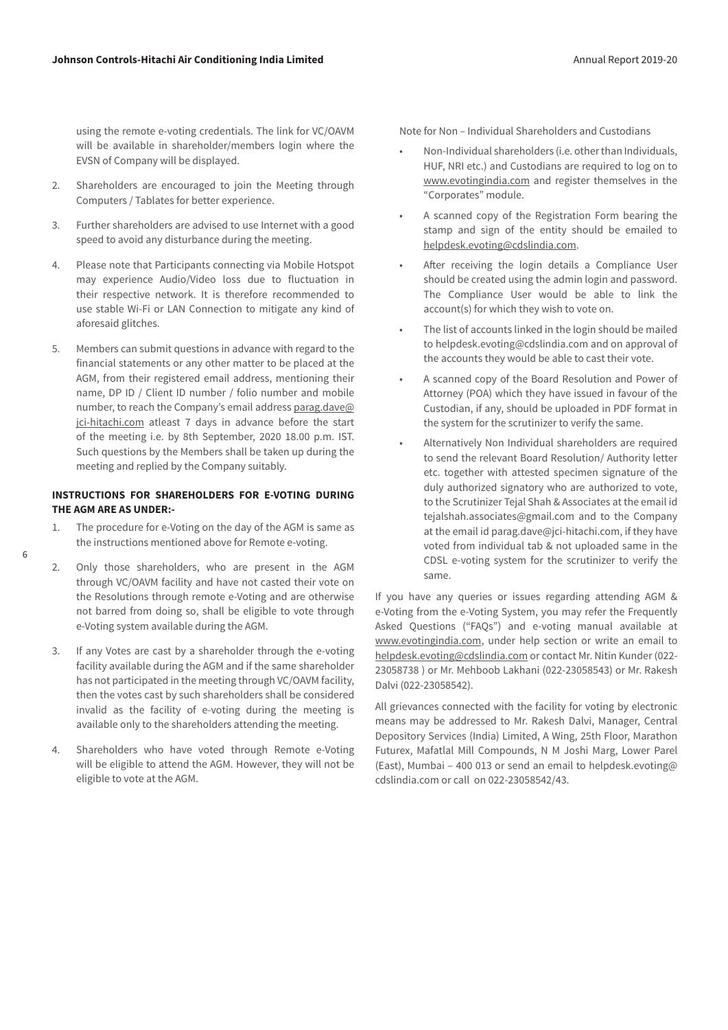using the remote e-voting credentials. The link for VC/OAVM will be available in shareholder/members login where the EVSN of Company will be displayed.

- 2. Shareholders are encouraged to join the Meeting through Computers / Tablates for better experience.
- 3. Further shareholders are advised to use Internet with a good speed to avoid any disturbance during the meeting.
- 4. Please note that Participants connecting via Mobile Hotspot may experience Audio/Video loss due to fluctuation in their respective network. It is therefore recommended to use stable Wi-Fi or LAN Connection to mitigate any kind of aforesaid glitches.
- 5. Members can submit questions in advance with regard to the financial statements or any other matter to be placed at the AGM, from their registered email address, mentioning their name, DP ID / Client ID number / folio number and mobile number, to reach the Company's email address [parag.dave@](mailto:parag.dave@jci-hitachi.com) [jci-hitachi.com](mailto:parag.dave@jci-hitachi.com) atleast 7 days in advance before the start of the meeting i.e. by 8th September, 2020 18.00 p.m. IST. Such questions by the Members shall be taken up during the meeting and replied by the Company suitably.

### **INSTRUCTIONS FOR SHAREHOLDERS FOR E-VOTING DURING THE AGM ARE AS UNDER:-**

1. The procedure for e-Voting on the day of the AGM is same as the instructions mentioned above for Remote e-voting.

6

- 2. Only those shareholders, who are present in the AGM through VC/OAVM facility and have not casted their vote on the Resolutions through remote e-Voting and are otherwise not barred from doing so, shall be eligible to vote through e-Voting system available during the AGM.
- 3. If any Votes are cast by a shareholder through the e-voting facility available during the AGM and if the same shareholder has not participated in the meeting through VC/OAVM facility, then the votes cast by such shareholders shall be considered invalid as the facility of e-voting during the meeting is available only to the shareholders attending the meeting.
- 4. Shareholders who have voted through Remote e-Voting will be eligible to attend the AGM. However, they will not be eligible to vote at the AGM.

Note for Non – Individual Shareholders and Custodians

- Non-Individual shareholders (i.e. other than Individuals, HUF, NRI etc.) and Custodians are required to log on to [www.evotingindia.com](http://www.evotingindia.com) and register themselves in the "Corporates" module.
- A scanned copy of the Registration Form bearing the stamp and sign of the entity should be emailed to [helpdesk.evoting@cdslindia.com](mailto:helpdesk.evoting@cdslindia.com).
- After receiving the login details a Compliance User should be created using the admin login and password. The Compliance User would be able to link the account(s) for which they wish to vote on.
- The list of accounts linked in the login should be mailed to helpdesk.evoting@cdslindia.com and on approval of the accounts they would be able to cast their vote.
- A scanned copy of the Board Resolution and Power of Attorney (POA) which they have issued in favour of the Custodian, if any, should be uploaded in PDF format in the system for the scrutinizer to verify the same.
- Alternatively Non Individual shareholders are required to send the relevant Board Resolution/ Authority letter etc. together with attested specimen signature of the duly authorized signatory who are authorized to vote, to the Scrutinizer Tejal Shah & Associates at the email id tejalshah.associates@gmail.com and to the Company at the email id parag.dave@jci-hitachi.com, if they have voted from individual tab & not uploaded same in the CDSL e-voting system for the scrutinizer to verify the same.

If you have any queries or issues regarding attending AGM & e-Voting from the e-Voting System, you may refer the Frequently Asked Questions ("FAQs") and e-voting manual available at [www.evotingindia.com,](http://www.evotingindia.com) under help section or write an email to [helpdesk.evoting@cdslindia.com](mailto:helpdesk.evoting@cdslindia.com) or contact Mr. Nitin Kunder (022- 23058738 ) or Mr. Mehboob Lakhani (022-23058543) or Mr. Rakesh Dalvi (022-23058542).

All grievances connected with the facility for voting by electronic means may be addressed to Mr. Rakesh Dalvi, Manager, Central Depository Services (India) Limited, A Wing, 25th Floor, Marathon Futurex, Mafatlal Mill Compounds, N M Joshi Marg, Lower Parel (East), Mumbai – 400 013 or send an email to helpdesk.evoting@ cdslindia.com or call on 022-23058542/43.